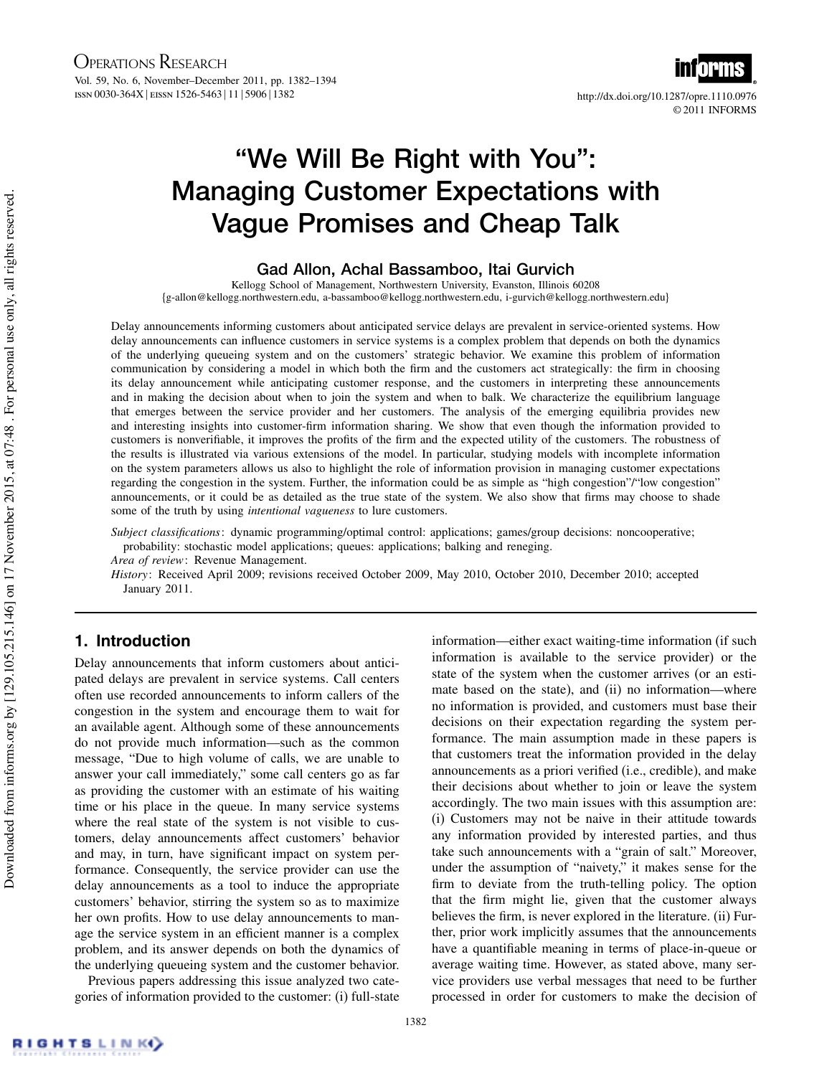© 2011 INFORMS

# "We Will Be Right with You": Managing Customer Expectations with Vague Promises and Cheap Talk

## Gad Allon, Achal Bassamboo, Itai Gurvich

Kellogg School of Management, Northwestern University, Evanston, Illinois 60208 {g-allon@kellogg.northwestern.edu, a-bassamboo@kellogg.northwestern.edu, i-gurvich@kellogg.northwestern.edu}

Delay announcements informing customers about anticipated service delays are prevalent in service-oriented systems. How delay announcements can influence customers in service systems is a complex problem that depends on both the dynamics of the underlying queueing system and on the customers' strategic behavior. We examine this problem of information communication by considering a model in which both the firm and the customers act strategically: the firm in choosing its delay announcement while anticipating customer response, and the customers in interpreting these announcements and in making the decision about when to join the system and when to balk. We characterize the equilibrium language that emerges between the service provider and her customers. The analysis of the emerging equilibria provides new and interesting insights into customer-firm information sharing. We show that even though the information provided to customers is nonverifiable, it improves the profits of the firm and the expected utility of the customers. The robustness of the results is illustrated via various extensions of the model. In particular, studying models with incomplete information on the system parameters allows us also to highlight the role of information provision in managing customer expectations regarding the congestion in the system. Further, the information could be as simple as "high congestion"/"low congestion" announcements, or it could be as detailed as the true state of the system. We also show that firms may choose to shade some of the truth by using *intentional vagueness* to lure customers.

*Subject classifications*: dynamic programming/optimal control: applications; games/group decisions: noncooperative;

probability: stochastic model applications; queues: applications; balking and reneging.

*Area of review*: Revenue Management.

*History*: Received April 2009; revisions received October 2009, May 2010, October 2010, December 2010; accepted January 2011.

# 1. Introduction

Delay announcements that inform customers about anticipated delays are prevalent in service systems. Call centers often use recorded announcements to inform callers of the congestion in the system and encourage them to wait for an available agent. Although some of these announcements do not provide much information—such as the common message, "Due to high volume of calls, we are unable to answer your call immediately," some call centers go as far as providing the customer with an estimate of his waiting time or his place in the queue. In many service systems where the real state of the system is not visible to customers, delay announcements affect customers' behavior and may, in turn, have significant impact on system performance. Consequently, the service provider can use the delay announcements as a tool to induce the appropriate customers' behavior, stirring the system so as to maximize her own profits. How to use delay announcements to manage the service system in an efficient manner is a complex problem, and its answer depends on both the dynamics of the underlying queueing system and the customer behavior.

Previous papers addressing this issue analyzed two categories of information provided to the customer: (i) full-state

information—either exact waiting-time information (if such information is available to the service provider) or the state of the system when the customer arrives (or an estimate based on the state), and (ii) no information—where no information is provided, and customers must base their decisions on their expectation regarding the system performance. The main assumption made in these papers is that customers treat the information provided in the delay announcements as a priori verified (i.e., credible), and make their decisions about whether to join or leave the system accordingly. The two main issues with this assumption are: (i) Customers may not be naive in their attitude towards any information provided by interested parties, and thus take such announcements with a "grain of salt." Moreover, under the assumption of "naivety," it makes sense for the firm to deviate from the truth-telling policy. The option that the firm might lie, given that the customer always believes the firm, is never explored in the literature. (ii) Further, prior work implicitly assumes that the announcements have a quantifiable meaning in terms of place-in-queue or average waiting time. However, as stated above, many service providers use verbal messages that need to be further processed in order for customers to make the decision of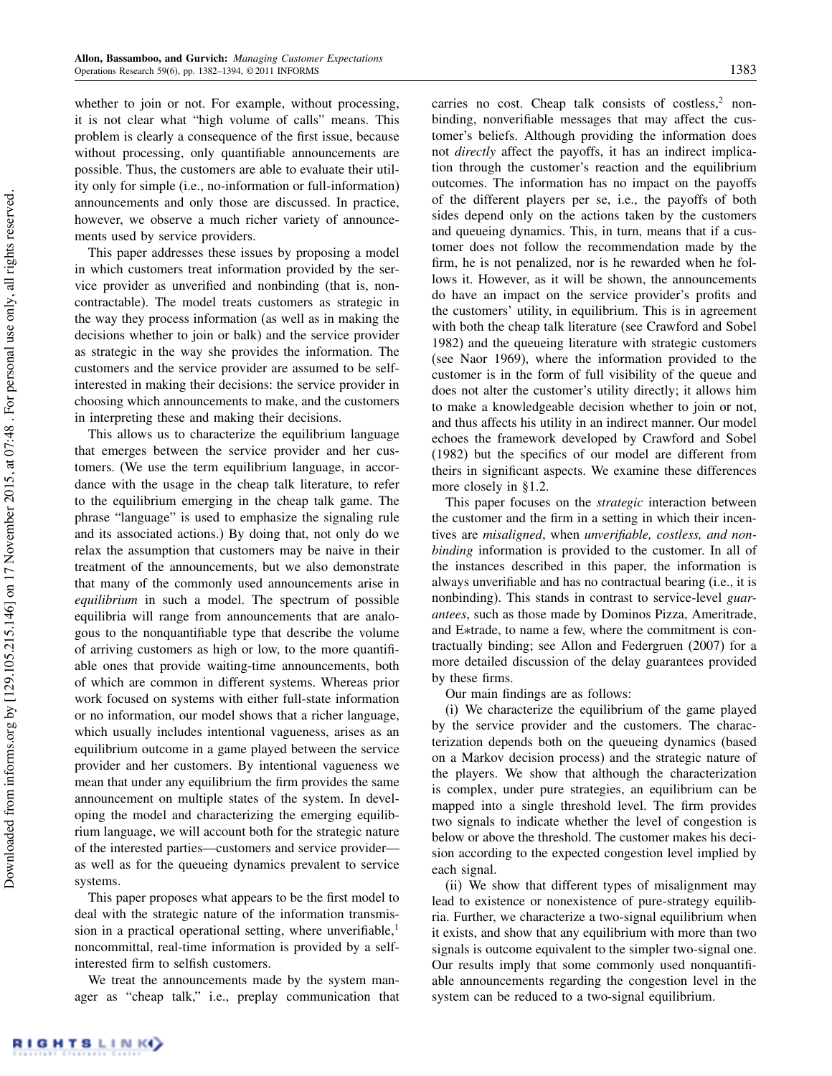whether to join or not. For example, without processing, it is not clear what "high volume of calls" means. This problem is clearly a consequence of the first issue, because without processing, only quantifiable announcements are possible. Thus, the customers are able to evaluate their utility only for simple (i.e., no-information or full-information) announcements and only those are discussed. In practice, however, we observe a much richer variety of announcements used by service providers.

This paper addresses these issues by proposing a model in which customers treat information provided by the service provider as unverified and nonbinding (that is, noncontractable). The model treats customers as strategic in the way they process information (as well as in making the decisions whether to join or balk) and the service provider as strategic in the way she provides the information. The customers and the service provider are assumed to be selfinterested in making their decisions: the service provider in choosing which announcements to make, and the customers in interpreting these and making their decisions.

This allows us to characterize the equilibrium language that emerges between the service provider and her customers. (We use the term equilibrium language, in accordance with the usage in the cheap talk literature, to refer to the equilibrium emerging in the cheap talk game. The phrase "language" is used to emphasize the signaling rule and its associated actions.) By doing that, not only do we relax the assumption that customers may be naive in their treatment of the announcements, but we also demonstrate that many of the commonly used announcements arise in *equilibrium* in such a model. The spectrum of possible equilibria will range from announcements that are analogous to the nonquantifiable type that describe the volume of arriving customers as high or low, to the more quantifiable ones that provide waiting-time announcements, both of which are common in different systems. Whereas prior work focused on systems with either full-state information or no information, our model shows that a richer language, which usually includes intentional vagueness, arises as an equilibrium outcome in a game played between the service provider and her customers. By intentional vagueness we mean that under any equilibrium the firm provides the same announcement on multiple states of the system. In developing the model and characterizing the emerging equilibrium language, we will account both for the strategic nature of the interested parties—customers and service provider as well as for the queueing dynamics prevalent to service systems.

This paper proposes what appears to be the first model to deal with the strategic nature of the information transmission in a practical operational setting, where unverifiable, $\frac{1}{1}$ noncommittal, real-time information is provided by a selfinterested firm to selfish customers.

We treat the announcements made by the system manager as "cheap talk," i.e., preplay communication that carries no cost. Cheap talk consists of costless,<sup>2</sup> nonbinding, nonverifiable messages that may affect the customer's beliefs. Although providing the information does not *directly* affect the payoffs, it has an indirect implication through the customer's reaction and the equilibrium outcomes. The information has no impact on the payoffs of the different players per se, i.e., the payoffs of both sides depend only on the actions taken by the customers and queueing dynamics. This, in turn, means that if a customer does not follow the recommendation made by the firm, he is not penalized, nor is he rewarded when he follows it. However, as it will be shown, the announcements do have an impact on the service provider's profits and the customers' utility, in equilibrium. This is in agreement with both the cheap talk literature (see Crawford and Sobel 1982) and the queueing literature with strategic customers (see Naor 1969), where the information provided to the customer is in the form of full visibility of the queue and does not alter the customer's utility directly; it allows him to make a knowledgeable decision whether to join or not, and thus affects his utility in an indirect manner. Our model echoes the framework developed by Crawford and Sobel (1982) but the specifics of our model are different from theirs in significant aspects. We examine these differences more closely in §1.2.

This paper focuses on the *strategic* interaction between the customer and the firm in a setting in which their incentives are *misaligned*, when *unverifiable, costless, and nonbinding* information is provided to the customer. In all of the instances described in this paper, the information is always unverifiable and has no contractual bearing (i.e., it is nonbinding). This stands in contrast to service-level *guarantees*, such as those made by Dominos Pizza, Ameritrade, and E $*$ trade, to name a few, where the commitment is contractually binding; see Allon and Federgruen (2007) for a more detailed discussion of the delay guarantees provided by these firms.

Our main findings are as follows:

(i) We characterize the equilibrium of the game played by the service provider and the customers. The characterization depends both on the queueing dynamics (based on a Markov decision process) and the strategic nature of the players. We show that although the characterization is complex, under pure strategies, an equilibrium can be mapped into a single threshold level. The firm provides two signals to indicate whether the level of congestion is below or above the threshold. The customer makes his decision according to the expected congestion level implied by each signal.

(ii) We show that different types of misalignment may lead to existence or nonexistence of pure-strategy equilibria. Further, we characterize a two-signal equilibrium when it exists, and show that any equilibrium with more than two signals is outcome equivalent to the simpler two-signal one. Our results imply that some commonly used nonquantifiable announcements regarding the congestion level in the system can be reduced to a two-signal equilibrium.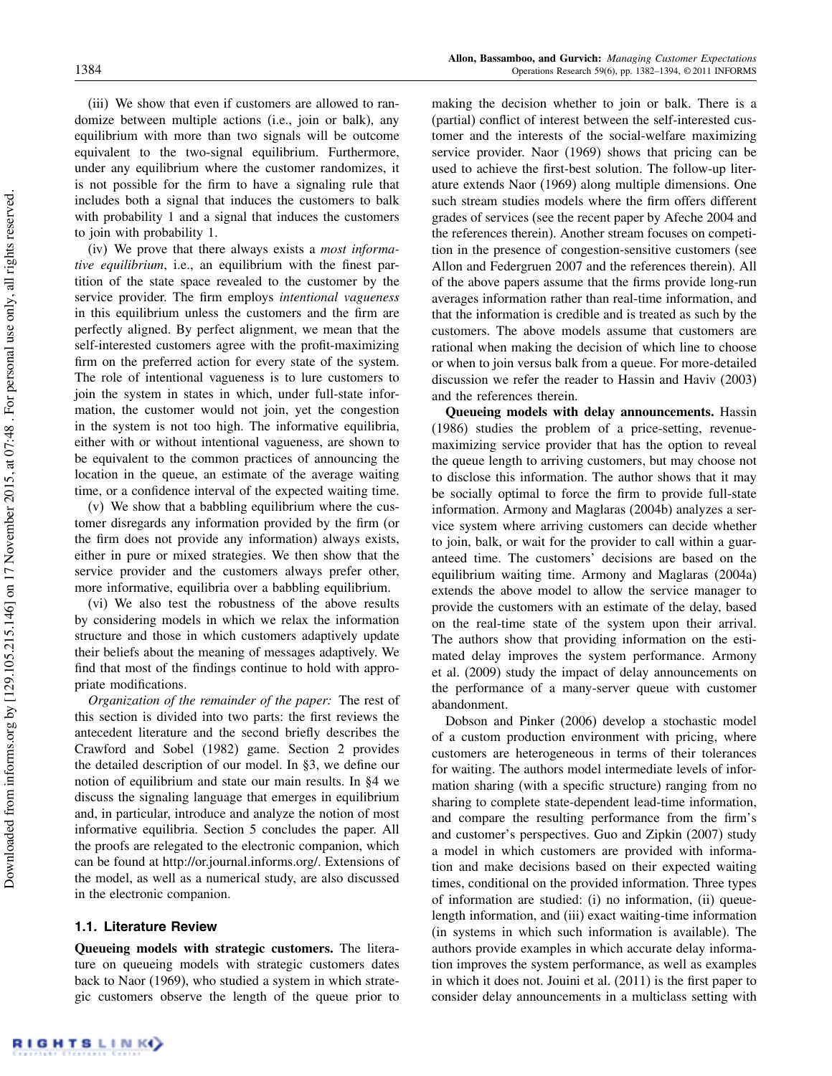(iii) We show that even if customers are allowed to randomize between multiple actions (i.e., join or balk), any equilibrium with more than two signals will be outcome equivalent to the two-signal equilibrium. Furthermore, under any equilibrium where the customer randomizes, it is not possible for the firm to have a signaling rule that includes both a signal that induces the customers to balk with probability 1 and a signal that induces the customers to join with probability 1.

(iv) We prove that there always exists a *most informative equilibrium*, i.e., an equilibrium with the finest partition of the state space revealed to the customer by the service provider. The firm employs *intentional vagueness* in this equilibrium unless the customers and the firm are perfectly aligned. By perfect alignment, we mean that the self-interested customers agree with the profit-maximizing firm on the preferred action for every state of the system. The role of intentional vagueness is to lure customers to join the system in states in which, under full-state information, the customer would not join, yet the congestion in the system is not too high. The informative equilibria, either with or without intentional vagueness, are shown to be equivalent to the common practices of announcing the location in the queue, an estimate of the average waiting time, or a confidence interval of the expected waiting time.

(v) We show that a babbling equilibrium where the customer disregards any information provided by the firm (or the firm does not provide any information) always exists, either in pure or mixed strategies. We then show that the service provider and the customers always prefer other, more informative, equilibria over a babbling equilibrium.

(vi) We also test the robustness of the above results by considering models in which we relax the information structure and those in which customers adaptively update their beliefs about the meaning of messages adaptively. We find that most of the findings continue to hold with appropriate modifications.

*Organization of the remainder of the paper:* The rest of this section is divided into two parts: the first reviews the antecedent literature and the second briefly describes the Crawford and Sobel (1982) game. Section 2 provides the detailed description of our model. In §3, we define our notion of equilibrium and state our main results. In §4 we discuss the signaling language that emerges in equilibrium and, in particular, introduce and analyze the notion of most informative equilibria. Section 5 concludes the paper. All the proofs are relegated to the electronic companion, which can be found at http://or.journal.informs.org/. Extensions of the model, as well as a numerical study, are also discussed in the electronic companion.

#### 1.1. Literature Review

Queueing models with strategic customers. The literature on queueing models with strategic customers dates back to Naor (1969), who studied a system in which strategic customers observe the length of the queue prior to

Allon, Bassamboo, and Gurvich: *Managing Customer Expectations* 1384 Operations Research 59(6), pp. 1382–1394, © 2011 INFORMS

> making the decision whether to join or balk. There is a (partial) conflict of interest between the self-interested customer and the interests of the social-welfare maximizing service provider. Naor (1969) shows that pricing can be used to achieve the first-best solution. The follow-up literature extends Naor (1969) along multiple dimensions. One such stream studies models where the firm offers different grades of services (see the recent paper by Afeche 2004 and the references therein). Another stream focuses on competition in the presence of congestion-sensitive customers (see Allon and Federgruen 2007 and the references therein). All of the above papers assume that the firms provide long-run averages information rather than real-time information, and that the information is credible and is treated as such by the customers. The above models assume that customers are rational when making the decision of which line to choose or when to join versus balk from a queue. For more-detailed discussion we refer the reader to Hassin and Haviv (2003) and the references therein.

> Queueing models with delay announcements. Hassin (1986) studies the problem of a price-setting, revenuemaximizing service provider that has the option to reveal the queue length to arriving customers, but may choose not to disclose this information. The author shows that it may be socially optimal to force the firm to provide full-state information. Armony and Maglaras (2004b) analyzes a service system where arriving customers can decide whether to join, balk, or wait for the provider to call within a guaranteed time. The customers' decisions are based on the equilibrium waiting time. Armony and Maglaras (2004a) extends the above model to allow the service manager to provide the customers with an estimate of the delay, based on the real-time state of the system upon their arrival. The authors show that providing information on the estimated delay improves the system performance. Armony et al. (2009) study the impact of delay announcements on the performance of a many-server queue with customer abandonment.

> Dobson and Pinker (2006) develop a stochastic model of a custom production environment with pricing, where customers are heterogeneous in terms of their tolerances for waiting. The authors model intermediate levels of information sharing (with a specific structure) ranging from no sharing to complete state-dependent lead-time information, and compare the resulting performance from the firm's and customer's perspectives. Guo and Zipkin (2007) study a model in which customers are provided with information and make decisions based on their expected waiting times, conditional on the provided information. Three types of information are studied: (i) no information, (ii) queuelength information, and (iii) exact waiting-time information (in systems in which such information is available). The authors provide examples in which accurate delay information improves the system performance, as well as examples in which it does not. Jouini et al. (2011) is the first paper to consider delay announcements in a multiclass setting with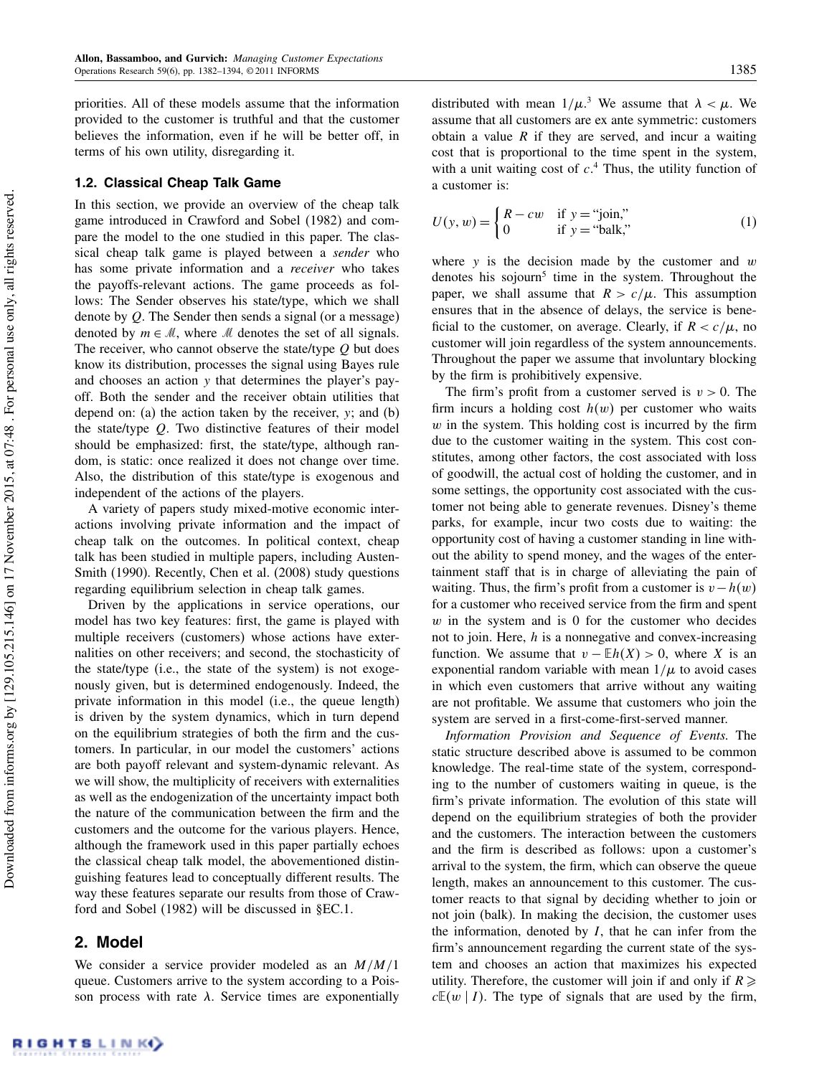priorities. All of these models assume that the information provided to the customer is truthful and that the customer believes the information, even if he will be better off, in terms of his own utility, disregarding it.

#### 1.2. Classical Cheap Talk Game

In this section, we provide an overview of the cheap talk game introduced in Crawford and Sobel (1982) and compare the model to the one studied in this paper. The classical cheap talk game is played between a *sender* who has some private information and a *receiver* who takes the payoffs-relevant actions. The game proceeds as follows: The Sender observes his state/type, which we shall denote by *Q*. The Sender then sends a signal (or a message) denoted by  $m \in \mathcal{M}$ , where  $\mathcal M$  denotes the set of all signals. The receiver, who cannot observe the state/type *Q* but does know its distribution, processes the signal using Bayes rule and chooses an action *y* that determines the player's payoff. Both the sender and the receiver obtain utilities that depend on: (a) the action taken by the receiver, *y*; and (b) the state/type *Q*. Two distinctive features of their model should be emphasized: first, the state/type, although random, is static: once realized it does not change over time. Also, the distribution of this state/type is exogenous and independent of the actions of the players.

A variety of papers study mixed-motive economic interactions involving private information and the impact of cheap talk on the outcomes. In political context, cheap talk has been studied in multiple papers, including Austen-Smith (1990). Recently, Chen et al. (2008) study questions regarding equilibrium selection in cheap talk games.

Driven by the applications in service operations, our model has two key features: first, the game is played with multiple receivers (customers) whose actions have externalities on other receivers; and second, the stochasticity of the state/type (i.e., the state of the system) is not exogenously given, but is determined endogenously. Indeed, the private information in this model (i.e., the queue length) is driven by the system dynamics, which in turn depend on the equilibrium strategies of both the firm and the customers. In particular, in our model the customers' actions are both payoff relevant and system-dynamic relevant. As we will show, the multiplicity of receivers with externalities as well as the endogenization of the uncertainty impact both the nature of the communication between the firm and the customers and the outcome for the various players. Hence, although the framework used in this paper partially echoes the classical cheap talk model, the abovementioned distinguishing features lead to conceptually different results. The way these features separate our results from those of Crawford and Sobel (1982) will be discussed in §EC.1.

#### 2. Model

We consider a service provider modeled as an *M/M/*1 queue. Customers arrive to the system according to a Poisson process with rate  $\lambda$ . Service times are exponentially

distributed with mean  $1/\mu$ .<sup>3</sup> We assume that  $\lambda < \mu$ . We assume that all customers are ex ante symmetric: customers obtain a value *R* if they are served, and incur a waiting cost that is proportional to the time spent in the system, with a unit waiting cost of  $c<sup>4</sup>$ . Thus, the utility function of a customer is:

$$
U(y, w) = \begin{cases} R - cw & \text{if } y = \text{``join,''} \\ 0 & \text{if } y = \text{``balk,''} \end{cases}
$$
 (1)

where *y* is the decision made by the customer and *w* denotes his sojourn<sup>5</sup> time in the system. Throughout the paper, we shall assume that  $R > c/\mu$ . This assumption ensures that in the absence of delays, the service is beneficial to the customer, on average. Clearly, if  $R < c/\mu$ , no customer will join regardless of the system announcements. Throughout the paper we assume that involuntary blocking by the firm is prohibitively expensive.

The firm's profit from a customer served is  $v > 0$ . The firm incurs a holding cost  $h(w)$  per customer who waits *w* in the system. This holding cost is incurred by the firm due to the customer waiting in the system. This cost constitutes, among other factors, the cost associated with loss of goodwill, the actual cost of holding the customer, and in some settings, the opportunity cost associated with the customer not being able to generate revenues. Disney's theme parks, for example, incur two costs due to waiting: the opportunity cost of having a customer standing in line without the ability to spend money, and the wages of the entertainment staff that is in charge of alleviating the pain of waiting. Thus, the firm's profit from a customer is  $v - h(w)$ for a customer who received service from the firm and spent *w* in the system and is 0 for the customer who decides not to join. Here, *h* is a nonnegative and convex-increasing function. We assume that  $v - \mathbb{E}h(X) > 0$ , where *X* is an exponential random variable with mean  $1/\mu$  to avoid cases in which even customers that arrive without any waiting are not profitable. We assume that customers who join the system are served in a first-come-first-served manner.

*Information Provision and Sequence of Events.* The static structure described above is assumed to be common knowledge. The real-time state of the system, corresponding to the number of customers waiting in queue, is the firm's private information. The evolution of this state will depend on the equilibrium strategies of both the provider and the customers. The interaction between the customers and the firm is described as follows: upon a customer's arrival to the system, the firm, which can observe the queue length, makes an announcement to this customer. The customer reacts to that signal by deciding whether to join or not join (balk). In making the decision, the customer uses the information, denoted by *I*, that he can infer from the firm's announcement regarding the current state of the system and chooses an action that maximizes his expected utility. Therefore, the customer will join if and only if  $R \geqslant$  $c \mathbb{E}(w \mid I)$ . The type of signals that are used by the firm,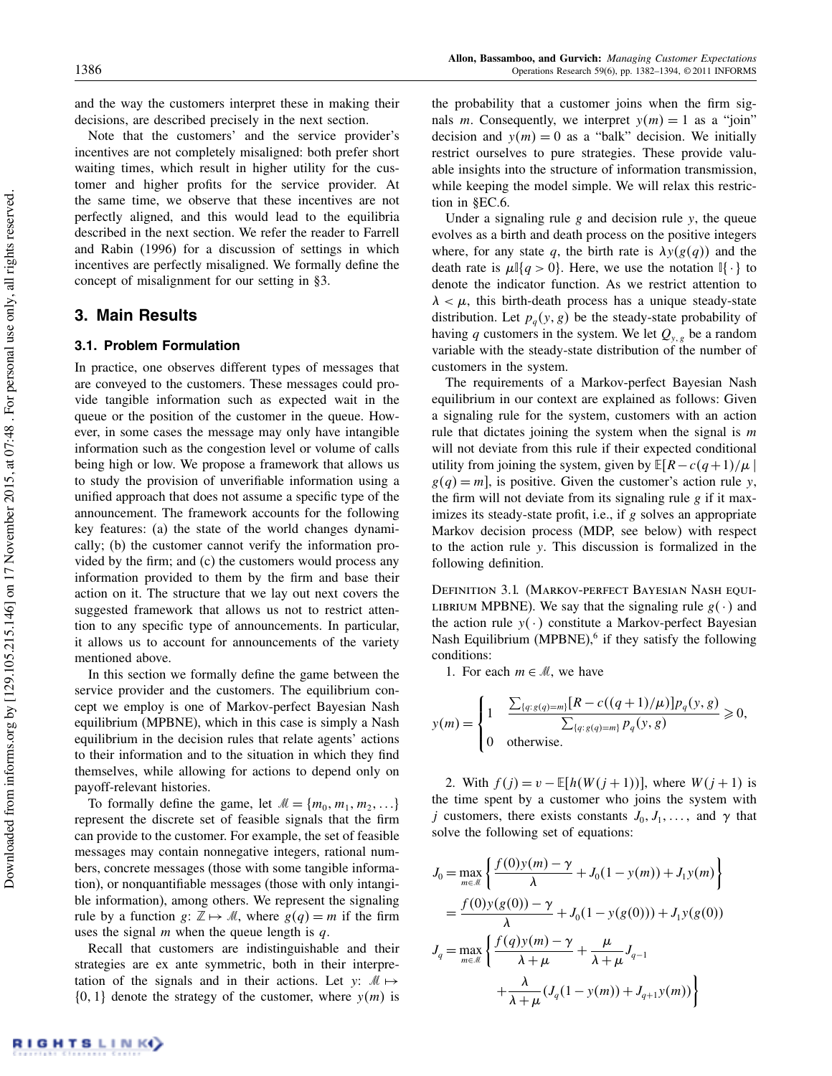and the way the customers interpret these in making their decisions, are described precisely in the next section.

Note that the customers' and the service provider's incentives are not completely misaligned: both prefer short waiting times, which result in higher utility for the customer and higher profits for the service provider. At the same time, we observe that these incentives are not perfectly aligned, and this would lead to the equilibria described in the next section. We refer the reader to Farrell and Rabin (1996) for a discussion of settings in which incentives are perfectly misaligned. We formally define the concept of misalignment for our setting in §3.

#### 3. Main Results

#### 3.1. Problem Formulation

In practice, one observes different types of messages that are conveyed to the customers. These messages could provide tangible information such as expected wait in the queue or the position of the customer in the queue. However, in some cases the message may only have intangible information such as the congestion level or volume of calls being high or low. We propose a framework that allows us to study the provision of unverifiable information using a unified approach that does not assume a specific type of the announcement. The framework accounts for the following key features: (a) the state of the world changes dynamically; (b) the customer cannot verify the information provided by the firm; and (c) the customers would process any information provided to them by the firm and base their action on it. The structure that we lay out next covers the suggested framework that allows us not to restrict attention to any specific type of announcements. In particular, it allows us to account for announcements of the variety mentioned above.

In this section we formally define the game between the service provider and the customers. The equilibrium concept we employ is one of Markov-perfect Bayesian Nash equilibrium (MPBNE), which in this case is simply a Nash equilibrium in the decision rules that relate agents' actions to their information and to the situation in which they find themselves, while allowing for actions to depend only on payoff-relevant histories.

To formally define the game, let  $\mathcal{M} = \{m_0, m_1, m_2, \ldots\}$ represent the discrete set of feasible signals that the firm can provide to the customer. For example, the set of feasible messages may contain nonnegative integers, rational numbers, concrete messages (those with some tangible information), or nonquantifiable messages (those with only intangible information), among others. We represent the signaling rule by a function  $g: \mathbb{Z} \mapsto \mathcal{M}$ , where  $g(q) = m$  if the firm uses the signal *m* when the queue length is *q*.

Recall that customers are indistinguishable and their strategies are ex ante symmetric, both in their interpretation of the signals and in their actions. Let *y*:  $M \mapsto$  $\{0, 1\}$  denote the strategy of the customer, where  $y(m)$  is the probability that a customer joins when the firm signals *m*. Consequently, we interpret  $y(m) = 1$  as a "join" decision and  $y(m) = 0$  as a "balk" decision. We initially restrict ourselves to pure strategies. These provide valuable insights into the structure of information transmission, while keeping the model simple. We will relax this restriction in §EC.6.

Under a signaling rule *g* and decision rule *y*, the queue evolves as a birth and death process on the positive integers where, for any state *q*, the birth rate is  $\lambda y(g(q))$  and the death rate is  $\mu$   $(q > 0)$ . Here, we use the notation  $\mathbb{I} \{\cdot\}$  to denote the indicator function. As we restrict attention to  $\lambda < \mu$ , this birth-death process has a unique steady-state distribution. Let  $p_q(y, g)$  be the steady-state probability of having *q* customers in the system. We let  $Q_{y,g}$  be a random variable with the steady-state distribution of the number of customers in the system.

The requirements of a Markov-perfect Bayesian Nash equilibrium in our context are explained as follows: Given a signaling rule for the system, customers with an action rule that dictates joining the system when the signal is *m* will not deviate from this rule if their expected conditional utility from joining the system, given by  $\mathbb{E}[R-c(q+1)/\mu]$  $g(q) = m$ , is positive. Given the customer's action rule *y*, the firm will not deviate from its signaling rule *g* if it maximizes its steady-state profit, i.e., if *g* solves an appropriate Markov decision process (MDP, see below) with respect to the action rule *y*. This discussion is formalized in the following definition.

Definition 3.1. (Markov-perfect Bayesian Nash equi-LIBRIUM MPBNE). We say that the signaling rule  $g(\cdot)$  and the action rule  $y(\cdot)$  constitute a Markov-perfect Bayesian Nash Equilibrium (MPBNE), $6$  if they satisfy the following conditions:

1. For each  $m \in \mathcal{M}$ , we have

$$
y(m) = \begin{cases} 1 & \frac{\sum_{\{q: g(q)=m\}} [R - c((q+1)/\mu)] p_q(y, g)}{\sum_{\{q: g(q)=m\}} p_q(y, g)} \ge 0, \\ 0 & \text{otherwise.} \end{cases}
$$

2. With  $f(j) = v - \mathbb{E}[h(W(j+1))],$  where  $W(j+1)$  is the time spent by a customer who joins the system with *j* customers, there exists constants  $J_0, J_1, \ldots$ , and  $\gamma$  that solve the following set of equations:

$$
J_0 = \max_{m \in \mathcal{M}} \left\{ \frac{f(0)y(m) - \gamma}{\lambda} + J_0(1 - y(m)) + J_1y(m) \right\}
$$
  
= 
$$
\frac{f(0)y(g(0)) - \gamma}{\lambda} + J_0(1 - y(g(0))) + J_1y(g(0))
$$
  

$$
J_q = \max_{m \in \mathcal{M}} \left\{ \frac{f(q)y(m) - \gamma}{\lambda + \mu} + \frac{\mu}{\lambda + \mu} J_{q-1} + \frac{\lambda}{\lambda + \mu} (J_q(1 - y(m)) + J_{q+1}y(m)) \right\}
$$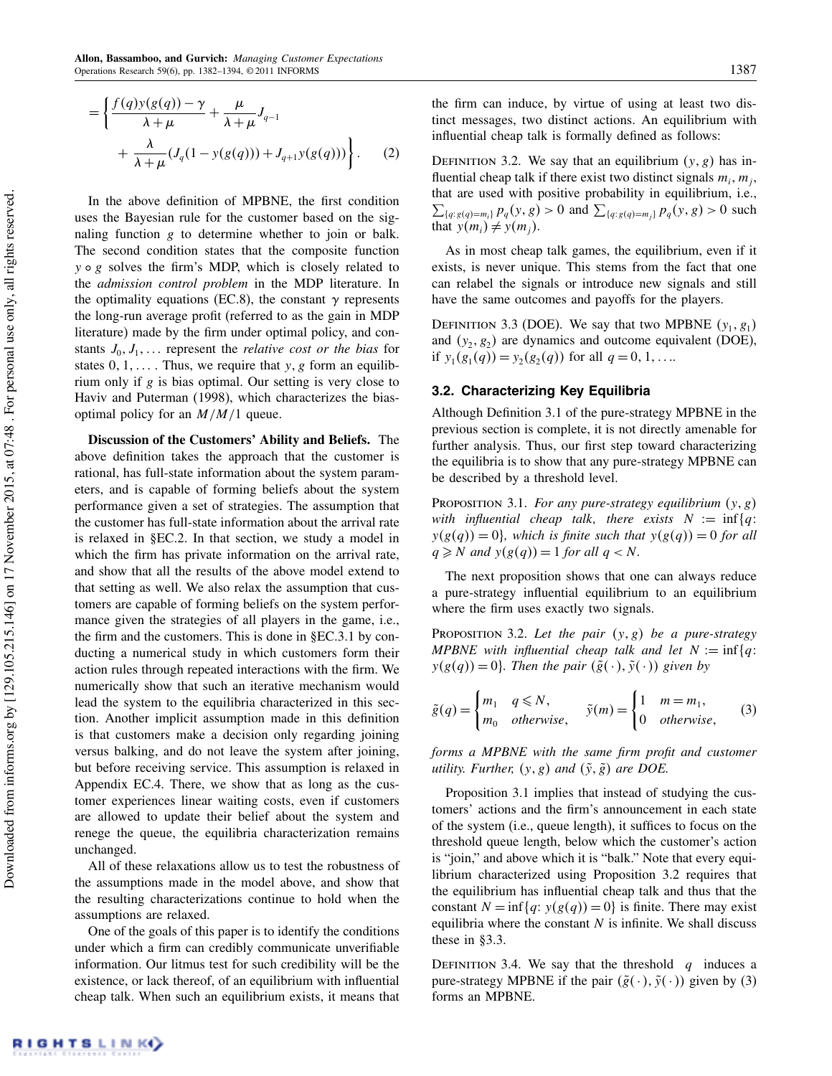$$
= \left\{ \frac{f(q)y(g(q)) - \gamma}{\lambda + \mu} + \frac{\mu}{\lambda + \mu} J_{q-1} + \frac{\lambda}{\lambda + \mu} (J_q(1 - y(g(q))) + J_{q+1} y(g(q))) \right\}.
$$
 (2)

In the above definition of MPBNE, the first condition uses the Bayesian rule for the customer based on the signaling function *g* to determine whether to join or balk. The second condition states that the composite function *y* **o** *g* solves the firm's MDP, which is closely related to the *admission control problem* in the MDP literature. In the optimality equations (EC.8), the constant  $\gamma$  represents the long-run average profit (referred to as the gain in MDP literature) made by the firm under optimal policy, and constants  $J_0, J_1, \ldots$  represent the *relative cost or the bias* for states  $0, 1, \ldots$ . Thus, we require that *y*, *g* form an equilibrium only if *g* is bias optimal. Our setting is very close to Haviv and Puterman (1998), which characterizes the biasoptimal policy for an *M/M/*1 queue.

Discussion of the Customers' Ability and Beliefs. The above definition takes the approach that the customer is rational, has full-state information about the system parameters, and is capable of forming beliefs about the system performance given a set of strategies. The assumption that the customer has full-state information about the arrival rate is relaxed in §EC.2. In that section, we study a model in which the firm has private information on the arrival rate, and show that all the results of the above model extend to that setting as well. We also relax the assumption that customers are capable of forming beliefs on the system performance given the strategies of all players in the game, i.e., the firm and the customers. This is done in §EC.3.1 by conducting a numerical study in which customers form their action rules through repeated interactions with the firm. We numerically show that such an iterative mechanism would lead the system to the equilibria characterized in this section. Another implicit assumption made in this definition is that customers make a decision only regarding joining versus balking, and do not leave the system after joining, but before receiving service. This assumption is relaxed in Appendix EC.4. There, we show that as long as the customer experiences linear waiting costs, even if customers are allowed to update their belief about the system and renege the queue, the equilibria characterization remains unchanged.

All of these relaxations allow us to test the robustness of the assumptions made in the model above, and show that the resulting characterizations continue to hold when the assumptions are relaxed.

One of the goals of this paper is to identify the conditions under which a firm can credibly communicate unverifiable information. Our litmus test for such credibility will be the existence, or lack thereof, of an equilibrium with influential cheap talk. When such an equilibrium exists, it means that the firm can induce, by virtue of using at least two distinct messages, two distinct actions. An equilibrium with influential cheap talk is formally defined as follows:

DEFINITION 3.2. We say that an equilibrium  $(y, g)$  has influential cheap talk if there exist two distinct signals  $m_i, m_j$ , that are used with positive probability in equilibrium, i.e.,  $\sum_{\{q: g(q)=m_i\}} p_q(y, g) > 0$  and  $\sum_{\{q: g(q)=m_i\}} p_q(y, g) > 0$  such that  $y(m_i) \neq y(m_i)$ .

As in most cheap talk games, the equilibrium, even if it exists, is never unique. This stems from the fact that one can relabel the signals or introduce new signals and still have the same outcomes and payoffs for the players.

DEFINITION 3.3 (DOE). We say that two MPBNE  $(y_1, g_1)$ and  $(y_2, g_2)$  are dynamics and outcome equivalent (DOE), if  $y_1(g_1(q)) = y_2(g_2(q))$  for all  $q = 0, 1, \ldots$ 

#### 3.2. Characterizing Key Equilibria

Although Definition 3.1 of the pure-strategy MPBNE in the previous section is complete, it is not directly amenable for further analysis. Thus, our first step toward characterizing the equilibria is to show that any pure-strategy MPBNE can be described by a threshold level.

PROPOSITION 3.1. *For any pure-strategy equilibrium*  $(y, g)$ *with influential cheap talk, there exists*  $N := \inf\{q:$  $y(g(q)) = 0$ , which is finite such that  $y(g(q)) = 0$  for all  $q \ge N$  *and*  $y(g(q)) = 1$  *for all*  $q < N$ *.* 

The next proposition shows that one can always reduce a pure-strategy influential equilibrium to an equilibrium where the firm uses exactly two signals.

PROPOSITION 3.2. Let the pair  $(y, g)$  be a pure-strategy *MPBNE with influential cheap talk and let*  $N := \inf\{q:$  $y(g(q)) = 0$ . Then the pair  $(\tilde{g}(\cdot), \tilde{y}(\cdot))$  given by

$$
\tilde{g}(q) = \begin{cases} m_1 & q \leq N, \\ m_0 & otherwise, \end{cases} \qquad \tilde{y}(m) = \begin{cases} 1 & m = m_1, \\ 0 & otherwise, \end{cases}
$$
 (3)

*forms a MPBNE with the same firm profit and customer utility. Further,*  $(y, g)$  *and*  $(\tilde{y}, \tilde{g})$  *are DOE.* 

Proposition 3.1 implies that instead of studying the customers' actions and the firm's announcement in each state of the system (i.e., queue length), it suffices to focus on the threshold queue length, below which the customer's action is "join," and above which it is "balk." Note that every equilibrium characterized using Proposition 3.2 requires that the equilibrium has influential cheap talk and thus that the constant  $N = \inf\{q: y(g(q)) = 0\}$  is finite. There may exist equilibria where the constant *N* is infinite. We shall discuss these in §3.3.

DEFINITION 3.4. We say that the threshold  $q$  induces a pure-strategy MPBNE if the pair  $(\tilde{g}(\cdot), \tilde{y}(\cdot))$  given by (3) forms an MPBNE.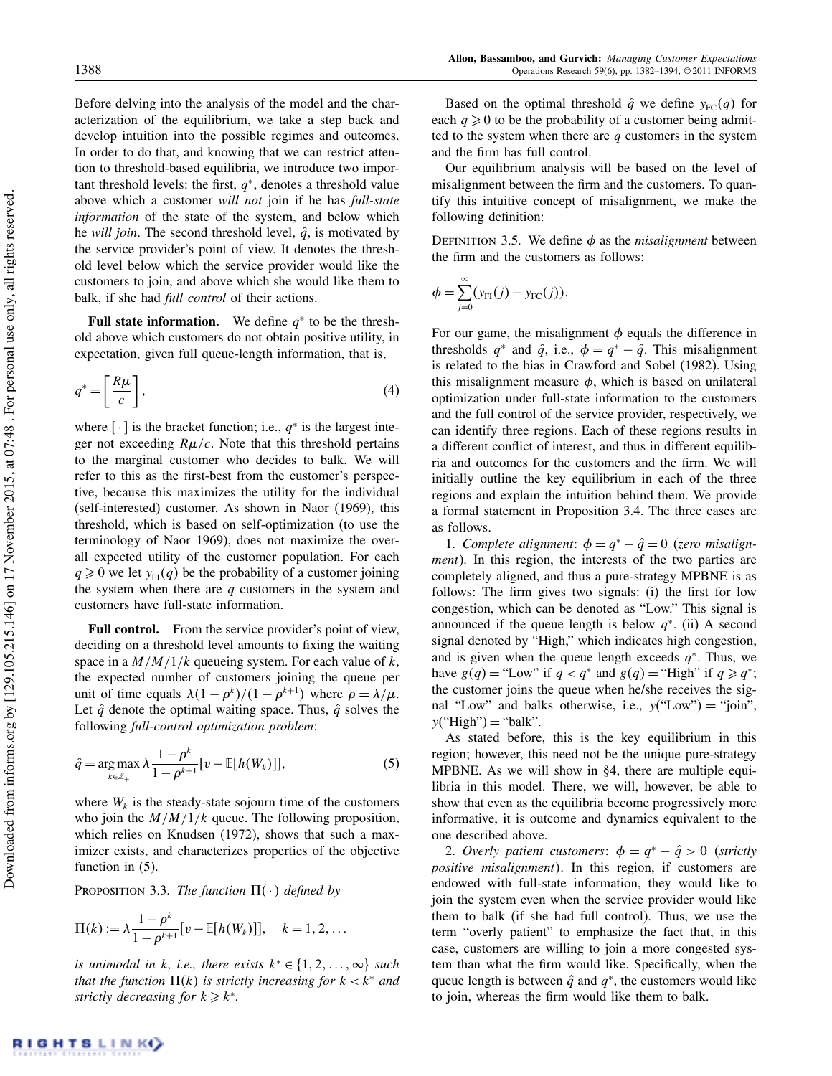Before delving into the analysis of the model and the characterization of the equilibrium, we take a step back and develop intuition into the possible regimes and outcomes. In order to do that, and knowing that we can restrict attention to threshold-based equilibria, we introduce two important threshold levels: the first,  $q^*$ , denotes a threshold value above which a customer *will not* join if he has *full-state information* of the state of the system, and below which he *will join*. The second threshold level,  $\hat{q}$ , is motivated by the service provider's point of view. It denotes the threshold level below which the service provider would like the customers to join, and above which she would like them to balk, if she had *full control* of their actions.

**Full state information.** We define  $q^*$  to be the threshold above which customers do not obtain positive utility, in expectation, given full queue-length information, that is,

$$
q^* = \left[\frac{R\mu}{c}\right],\tag{4}
$$

where  $[\cdot]$  is the bracket function; i.e.,  $q^*$  is the largest integer not exceeding  $R\mu/c$ . Note that this threshold pertains to the marginal customer who decides to balk. We will refer to this as the first-best from the customer's perspective, because this maximizes the utility for the individual (self-interested) customer. As shown in Naor (1969), this threshold, which is based on self-optimization (to use the terminology of Naor 1969), does not maximize the overall expected utility of the customer population. For each  $q \ge 0$  we let  $y_{FI}(q)$  be the probability of a customer joining the system when there are *q* customers in the system and customers have full-state information.

Full control. From the service provider's point of view, deciding on a threshold level amounts to fixing the waiting space in a *M/M/*1*/k* queueing system. For each value of *k*, the expected number of customers joining the queue per unit of time equals  $\lambda(1 - \rho^k)/(1 - \rho^{k+1})$  where  $\rho = \lambda/\mu$ . Let  $\hat{q}$  denote the optimal waiting space. Thus,  $\hat{q}$  solves the following *full-control optimization problem*:

$$
\hat{q} = \underset{k \in \mathbb{Z}_+}{\arg \max} \lambda \frac{1 - \rho^k}{1 - \rho^{k+1}} [v - \mathbb{E}[h(W_k)]],
$$
\n<sup>(5)</sup>

where  $W_k$  is the steady-state sojourn time of the customers who join the *M/M/*1*/k* queue. The following proposition, which relies on Knudsen (1972), shows that such a maximizer exists, and characterizes properties of the objective function in (5).

PROPOSITION 3.3. *The function*  $\Pi(\cdot)$  *defined by* 

$$
\Pi(k) := \lambda \frac{1 - \rho^k}{1 - \rho^{k+1}} [v - \mathbb{E}[h(W_k)]], \quad k = 1, 2, ...
$$

*is unimodal in k, i.e., there exists*  $k^* \in \{1, 2, \ldots, \infty\}$  *such that the function*  $\Pi(k)$  *is strictly increasing for*  $k < k^*$  *and strictly decreasing for*  $k \geq k^*$ .

Based on the optimal threshold  $\hat{q}$  we define  $y_{\text{FC}}(q)$  for each  $q \ge 0$  to be the probability of a customer being admitted to the system when there are *q* customers in the system and the firm has full control.

Our equilibrium analysis will be based on the level of misalignment between the firm and the customers. To quantify this intuitive concept of misalignment, we make the following definition:

DEFINITION 3.5. We define  $\phi$  as the *misalignment* between the firm and the customers as follows:

$$
\phi = \sum_{j=0}^{\infty} (y_{\text{FI}}(j) - y_{\text{FC}}(j)).
$$

For our game, the misalignment  $\phi$  equals the difference in thresholds  $q^*$  and  $\hat{q}$ , i.e.,  $\phi = q^* - \hat{q}$ . This misalignment is related to the bias in Crawford and Sobel (1982). Using this misalignment measure  $\phi$ , which is based on unilateral optimization under full-state information to the customers and the full control of the service provider, respectively, we can identify three regions. Each of these regions results in a different conflict of interest, and thus in different equilibria and outcomes for the customers and the firm. We will initially outline the key equilibrium in each of the three regions and explain the intuition behind them. We provide a formal statement in Proposition 3.4. The three cases are as follows.

1. *Complete alignment*:  $\phi = q^* - \hat{q} = 0$  (zero misalign*ment).* In this region, the interests of the two parties are completely aligned, and thus a pure-strategy MPBNE is as follows: The firm gives two signals: (i) the first for low congestion, which can be denoted as "Low." This signal is announced if the queue length is below  $q^*$ . (ii) A second signal denoted by "High," which indicates high congestion, and is given when the queue length exceeds  $q^*$ . Thus, we have  $g(q) =$  "Low" if  $q < q^*$  and  $g(q) =$  "High" if  $q \geq q^*$ ; the customer joins the queue when he/she receives the signal "Low" and balks otherwise, i.e., *y*("Low") = "join",  $y$ <sup>("</sup>High") = "balk".

As stated before, this is the key equilibrium in this region; however, this need not be the unique pure-strategy MPBNE. As we will show in §4, there are multiple equilibria in this model. There, we will, however, be able to show that even as the equilibria become progressively more informative, it is outcome and dynamics equivalent to the one described above.

2. *Overly patient customers:*  $\phi = q^* - \hat{q} > 0$  *(strictly positive misalignment)*. In this region, if customers are endowed with full-state information, they would like to join the system even when the service provider would like them to balk (if she had full control). Thus, we use the term "overly patient" to emphasize the fact that, in this case, customers are willing to join a more congested system than what the firm would like. Specifically, when the queue length is between  $\hat{q}$  and  $q^*$ , the customers would like to join, whereas the firm would like them to balk.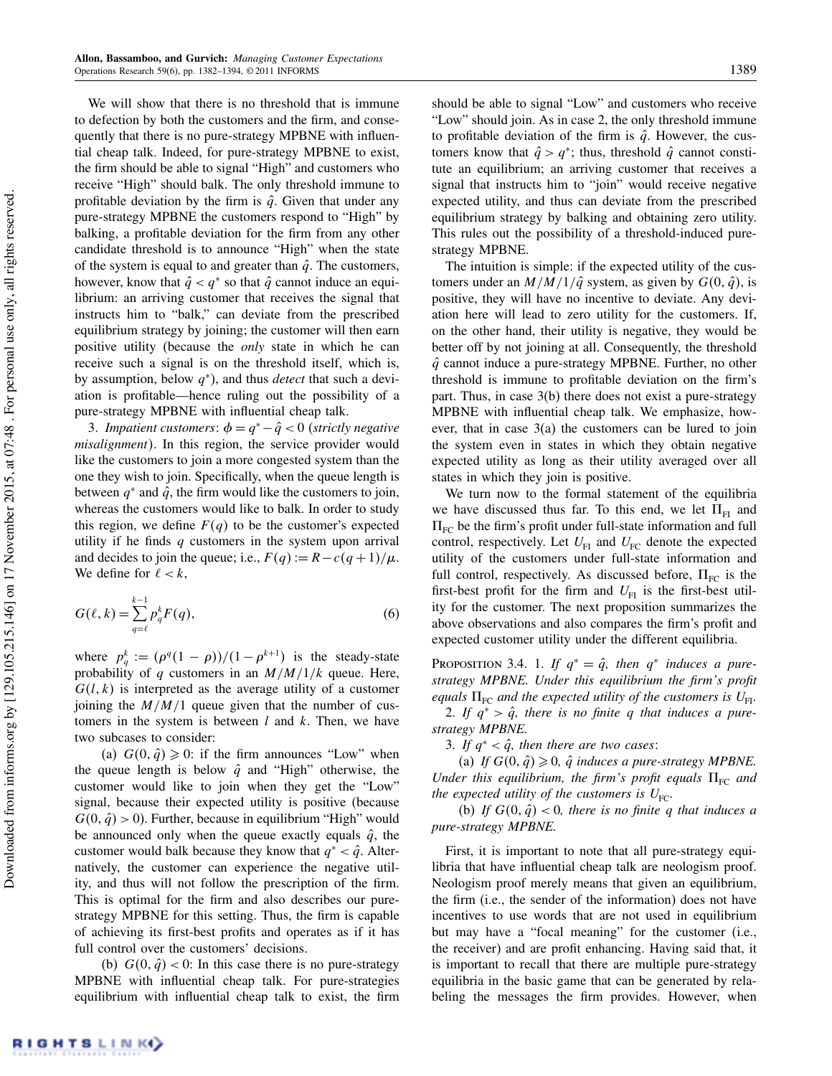to defection by both the customers and the firm, and consequently that there is no pure-strategy MPBNE with influential cheap talk. Indeed, for pure-strategy MPBNE to exist, the firm should be able to signal "High" and customers who receive "High" should balk. The only threshold immune to profitable deviation by the firm is  $\hat{q}$ . Given that under any pure-strategy MPBNE the customers respond to "High" by balking, a profitable deviation for the firm from any other candidate threshold is to announce "High" when the state of the system is equal to and greater than  $\hat{q}$ . The customers, however, know that  $\hat{q} < q^*$  so that  $\hat{q}$  cannot induce an equilibrium: an arriving customer that receives the signal that instructs him to "balk," can deviate from the prescribed equilibrium strategy by joining; the customer will then earn positive utility (because the *only* state in which he can receive such a signal is on the threshold itself, which is, by assumption, below  $q^*$ ), and thus *detect* that such a deviation is profitable—hence ruling out the possibility of a pure-strategy MPBNE with influential cheap talk.

3. *Impatient customers:*  $\phi = q^* - \hat{q} < 0$  *(strictly negative misalignment)*. In this region, the service provider would like the customers to join a more congested system than the one they wish to join. Specifically, when the queue length is between  $q^*$  and  $\hat{q}$ , the firm would like the customers to join, whereas the customers would like to balk. In order to study this region, we define  $F(q)$  to be the customer's expected utility if he finds *q* customers in the system upon arrival and decides to join the queue; i.e.,  $F(q) := R - c(q+1)/\mu$ . We define for  $\ell < k$ ,

$$
G(\ell, k) = \sum_{q=\ell}^{k-1} p_q^k F(q),
$$
\n(6)

where  $p_q^k := (\rho^q (1 - \rho))/(1 - \rho^{k+1})$  is the steady-state probability of *q* customers in an *M/M/*1*/k* queue. Here,  $G(l, k)$  is interpreted as the average utility of a customer joining the  $M/M/1$  queue given that the number of customers in the system is between *l* and *k*. Then, we have two subcases to consider:

(a)  $G(0, \hat{q}) \ge 0$ : if the firm announces "Low" when the queue length is below  $\hat{q}$  and "High" otherwise, the customer would like to join when they get the "Low" signal, because their expected utility is positive (because  $G(0, \hat{q}) > 0$ ). Further, because in equilibrium "High" would be announced only when the queue exactly equals  $\hat{q}$ , the customer would balk because they know that  $q^* < \hat{q}$ . Alternatively, the customer can experience the negative utility, and thus will not follow the prescription of the firm. This is optimal for the firm and also describes our purestrategy MPBNE for this setting. Thus, the firm is capable of achieving its first-best profits and operates as if it has full control over the customers' decisions.

(b)  $G(0, \hat{q}) < 0$ : In this case there is no pure-strategy MPBNE with influential cheap talk. For pure-strategies equilibrium with influential cheap talk to exist, the firm should be able to signal "Low" and customers who receive "Low" should join. As in case 2, the only threshold immune to profitable deviation of the firm is  $\hat{q}$ . However, the customers know that  $\hat{q} > q^*$ ; thus, threshold  $\hat{q}$  cannot constitute an equilibrium; an arriving customer that receives a signal that instructs him to "join" would receive negative expected utility, and thus can deviate from the prescribed equilibrium strategy by balking and obtaining zero utility. This rules out the possibility of a threshold-induced purestrategy MPBNE.

The intuition is simple: if the expected utility of the customers under an  $M/M/1/\hat{q}$  system, as given by  $G(0, \hat{q})$ , is positive, they will have no incentive to deviate. Any deviation here will lead to zero utility for the customers. If, on the other hand, their utility is negative, they would be better off by not joining at all. Consequently, the threshold  $\hat{q}$  cannot induce a pure-strategy MPBNE. Further, no other threshold is immune to profitable deviation on the firm's part. Thus, in case 3(b) there does not exist a pure-strategy MPBNE with influential cheap talk. We emphasize, however, that in case  $3(a)$  the customers can be lured to join the system even in states in which they obtain negative expected utility as long as their utility averaged over all states in which they join is positive.

We turn now to the formal statement of the equilibria we have discussed thus far. To this end, we let  $\Pi_{FI}$  and  $\Pi_{FC}$  be the firm's profit under full-state information and full control, respectively. Let  $U_{\text{FI}}$  and  $U_{\text{FC}}$  denote the expected utility of the customers under full-state information and full control, respectively. As discussed before,  $\Pi_{FC}$  is the first-best profit for the firm and  $U_{\text{FI}}$  is the first-best utility for the customer. The next proposition summarizes the above observations and also compares the firm's profit and expected customer utility under the different equilibria.

PROPOSITION 3.4. 1. If  $q^* = \hat{q}$ , then  $q^*$  induces a pure*strategy MPBNE. Under this equilibrium the firm's profit equals*  $\Pi_{\text{FC}}$  *and the expected utility of the customers is*  $U_{\text{FI}}$ *.* 

2. If  $q^* > \hat{q}$ , there is no finite q that induces a pure*strategy MPBNE.*

3. If  $q^* < \hat{q}$ , then there are two cases:

(a) *If*  $G(0, \hat{q}) \ge 0$ ,  $\hat{q}$  *induces a pure-strategy MPBNE. Under this equilibrium, the firm's profit equals*  $\Pi_{FC}$  *and the expected utility of the customers is*  $U_{\text{FC}}$ *.* 

(b) If  $G(0, \hat{q}) < 0$ , there is no finite q that induces a *pure-strategy MPBNE.*

First, it is important to note that all pure-strategy equilibria that have influential cheap talk are neologism proof. Neologism proof merely means that given an equilibrium, the firm (i.e., the sender of the information) does not have incentives to use words that are not used in equilibrium but may have a "focal meaning" for the customer (i.e., the receiver) and are profit enhancing. Having said that, it is important to recall that there are multiple pure-strategy equilibria in the basic game that can be generated by relabeling the messages the firm provides. However, when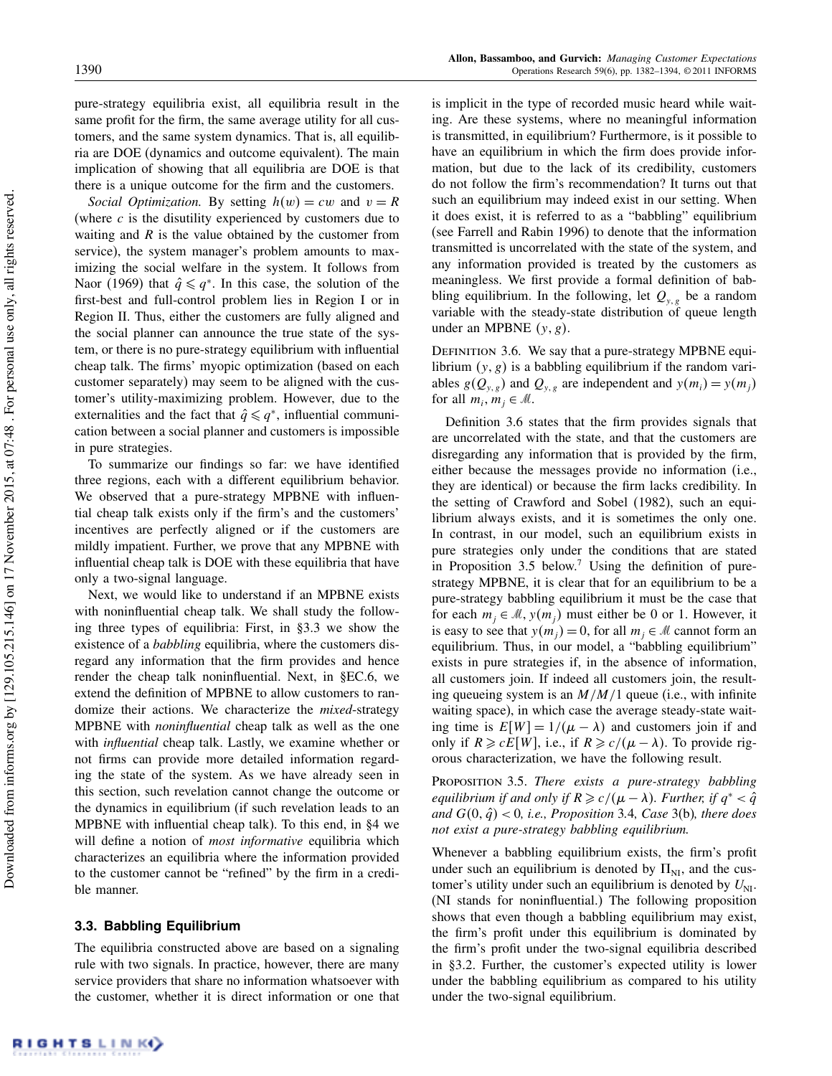pure-strategy equilibria exist, all equilibria result in the same profit for the firm, the same average utility for all customers, and the same system dynamics. That is, all equilibria are DOE (dynamics and outcome equivalent). The main implication of showing that all equilibria are DOE is that there is a unique outcome for the firm and the customers.

*Social Optimization.* By setting  $h(w) = cw$  and  $v = R$ (where *c* is the disutility experienced by customers due to waiting and  $R$  is the value obtained by the customer from service), the system manager's problem amounts to maximizing the social welfare in the system. It follows from Naor (1969) that  $\hat{q} \leq q^*$ . In this case, the solution of the first-best and full-control problem lies in Region I or in Region II. Thus, either the customers are fully aligned and the social planner can announce the true state of the system, or there is no pure-strategy equilibrium with influential cheap talk. The firms' myopic optimization (based on each customer separately) may seem to be aligned with the customer's utility-maximizing problem. However, due to the externalities and the fact that  $\hat{q} \leq q^*$ , influential communication between a social planner and customers is impossible in pure strategies.

To summarize our findings so far: we have identified three regions, each with a different equilibrium behavior. We observed that a pure-strategy MPBNE with influential cheap talk exists only if the firm's and the customers' incentives are perfectly aligned or if the customers are mildly impatient. Further, we prove that any MPBNE with influential cheap talk is DOE with these equilibria that have only a two-signal language.

Next, we would like to understand if an MPBNE exists with noninfluential cheap talk. We shall study the following three types of equilibria: First, in §3.3 we show the existence of a *babbling* equilibria, where the customers disregard any information that the firm provides and hence render the cheap talk noninfluential. Next, in §EC.6, we extend the definition of MPBNE to allow customers to randomize their actions. We characterize the *mixed*-strategy MPBNE with *noninfluential* cheap talk as well as the one with *influential* cheap talk. Lastly, we examine whether or not firms can provide more detailed information regarding the state of the system. As we have already seen in this section, such revelation cannot change the outcome or the dynamics in equilibrium (if such revelation leads to an MPBNE with influential cheap talk). To this end, in §4 we will define a notion of *most informative* equilibria which characterizes an equilibria where the information provided to the customer cannot be "refined" by the firm in a credible manner.

#### 3.3. Babbling Equilibrium

The equilibria constructed above are based on a signaling rule with two signals. In practice, however, there are many service providers that share no information whatsoever with the customer, whether it is direct information or one that

is implicit in the type of recorded music heard while waiting. Are these systems, where no meaningful information is transmitted, in equilibrium? Furthermore, is it possible to have an equilibrium in which the firm does provide information, but due to the lack of its credibility, customers do not follow the firm's recommendation? It turns out that such an equilibrium may indeed exist in our setting. When it does exist, it is referred to as a "babbling" equilibrium (see Farrell and Rabin 1996) to denote that the information transmitted is uncorrelated with the state of the system, and any information provided is treated by the customers as meaningless. We first provide a formal definition of babbling equilibrium. In the following, let  $Q_{y,g}$  be a random variable with the steady-state distribution of queue length under an MPBNE  $(y, g)$ .

DEFINITION 3.6. We say that a pure-strategy MPBNE equilibrium  $(y, g)$  is a babbling equilibrium if the random variables  $g(Q_{y, g})$  and  $Q_{y, g}$  are independent and  $y(m_i) = y(m_i)$ for all  $m_i, m_j \in \mathcal{M}$ .

Definition 3.6 states that the firm provides signals that are uncorrelated with the state, and that the customers are disregarding any information that is provided by the firm, either because the messages provide no information (i.e., they are identical) or because the firm lacks credibility. In the setting of Crawford and Sobel (1982), such an equilibrium always exists, and it is sometimes the only one. In contrast, in our model, such an equilibrium exists in pure strategies only under the conditions that are stated in Proposition  $3.5$  below.<sup>7</sup> Using the definition of purestrategy MPBNE, it is clear that for an equilibrium to be a pure-strategy babbling equilibrium it must be the case that for each  $m_i \in \mathcal{M}, y(m_i)$  must either be 0 or 1. However, it is easy to see that  $y(m_i) = 0$ , for all  $m_i \in \mathcal{M}$  cannot form an equilibrium. Thus, in our model, a "babbling equilibrium" exists in pure strategies if, in the absence of information, all customers join. If indeed all customers join, the resulting queueing system is an *M/M/*1 queue (i.e., with infinite waiting space), in which case the average steady-state waiting time is  $E[W] = 1/(\mu - \lambda)$  and customers join if and only if  $R \ge cE[W]$ , i.e., if  $R \ge c/(\mu - \lambda)$ . To provide rigorous characterization, we have the following result.

Proposition 3.5. *There exists a pure-strategy babbling equilibrium if and only if*  $R \ge c/(\mu - \lambda)$ *. Further, if*  $q^* < \hat{q}$ *and*  $G(0, \hat{q}) < 0$ , *i.e., Proposition* 3.4, *Case* 3(b), *there does not exist a pure-strategy babbling equilibrium.*

Whenever a babbling equilibrium exists, the firm's profit under such an equilibrium is denoted by  $\Pi_{NI}$ , and the customer's utility under such an equilibrium is denoted by  $U_{NI}$ . (NI stands for noninfluential.) The following proposition shows that even though a babbling equilibrium may exist, the firm's profit under this equilibrium is dominated by the firm's profit under the two-signal equilibria described in §3.2. Further, the customer's expected utility is lower under the babbling equilibrium as compared to his utility under the two-signal equilibrium.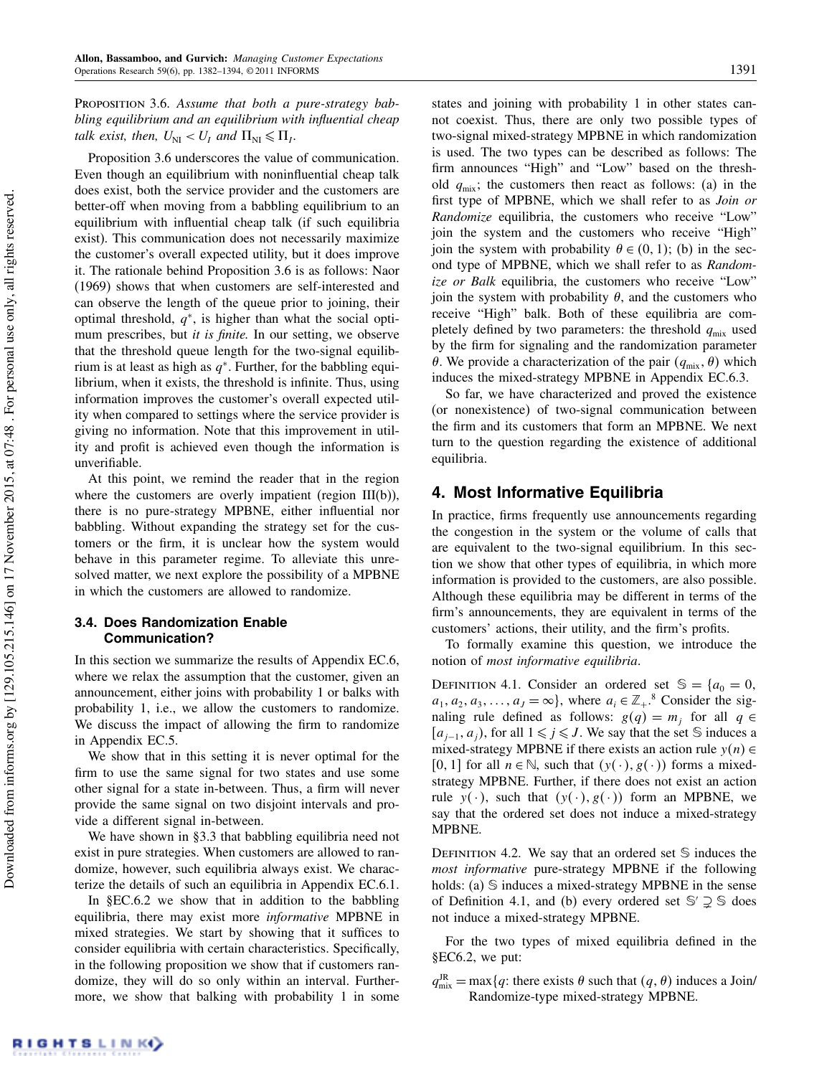PROPOSITION 3.6. Assume that both a pure-strategy bab*bling equilibrium and an equilibrium with influential cheap talk exist, then,*  $U_{\text{NI}} < U_I$  *and*  $\Pi_{\text{NI}} \leq \Pi_I$ .

Proposition 3.6 underscores the value of communication. Even though an equilibrium with noninfluential cheap talk does exist, both the service provider and the customers are better-off when moving from a babbling equilibrium to an equilibrium with influential cheap talk (if such equilibria exist). This communication does not necessarily maximize the customer's overall expected utility, but it does improve it. The rationale behind Proposition 3.6 is as follows: Naor (1969) shows that when customers are self-interested and can observe the length of the queue prior to joining, their optimal threshold,  $q^*$ , is higher than what the social optimum prescribes, but *it is finite.* In our setting, we observe that the threshold queue length for the two-signal equilibrium is at least as high as  $q^*$ . Further, for the babbling equilibrium, when it exists, the threshold is infinite. Thus, using information improves the customer's overall expected utility when compared to settings where the service provider is giving no information. Note that this improvement in utility and profit is achieved even though the information is unverifiable.

At this point, we remind the reader that in the region where the customers are overly impatient (region  $III(b)$ ), there is no pure-strategy MPBNE, either influential nor babbling. Without expanding the strategy set for the customers or the firm, it is unclear how the system would behave in this parameter regime. To alleviate this unresolved matter, we next explore the possibility of a MPBNE in which the customers are allowed to randomize.

#### 3.4. Does Randomization Enable Communication?

In this section we summarize the results of Appendix EC.6, where we relax the assumption that the customer, given an announcement, either joins with probability 1 or balks with probability 1, i.e., we allow the customers to randomize. We discuss the impact of allowing the firm to randomize in Appendix EC.5.

We show that in this setting it is never optimal for the firm to use the same signal for two states and use some other signal for a state in-between. Thus, a firm will never provide the same signal on two disjoint intervals and provide a different signal in-between.

We have shown in §3.3 that babbling equilibria need not exist in pure strategies. When customers are allowed to randomize, however, such equilibria always exist. We characterize the details of such an equilibria in Appendix EC.6.1.

In §EC.6.2 we show that in addition to the babbling equilibria, there may exist more *informative* MPBNE in mixed strategies. We start by showing that it suffices to consider equilibria with certain characteristics. Specifically, in the following proposition we show that if customers randomize, they will do so only within an interval. Furthermore, we show that balking with probability 1 in some

states and joining with probability 1 in other states cannot coexist. Thus, there are only two possible types of two-signal mixed-strategy MPBNE in which randomization is used. The two types can be described as follows: The firm announces "High" and "Low" based on the threshold  $q_{\text{mix}}$ ; the customers then react as follows: (a) in the first type of MPBNE, which we shall refer to as *Join or Randomize* equilibria, the customers who receive "Low" join the system and the customers who receive "High" join the system with probability  $\theta \in (0, 1)$ ; (b) in the second type of MPBNE, which we shall refer to as *Randomize or Balk* equilibria, the customers who receive "Low" join the system with probability  $\theta$ , and the customers who receive "High" balk. Both of these equilibria are completely defined by two parameters: the threshold  $q_{\text{mix}}$  used by the firm for signaling and the randomization parameter  $\theta$ . We provide a characterization of the pair  $(q<sub>mix</sub>, \theta)$  which induces the mixed-strategy MPBNE in Appendix EC.6.3.

So far, we have characterized and proved the existence (or nonexistence) of two-signal communication between the firm and its customers that form an MPBNE. We next turn to the question regarding the existence of additional equilibria.

# 4. Most Informative Equilibria

In practice, firms frequently use announcements regarding the congestion in the system or the volume of calls that are equivalent to the two-signal equilibrium. In this section we show that other types of equilibria, in which more information is provided to the customers, are also possible. Although these equilibria may be different in terms of the firm's announcements, they are equivalent in terms of the customers' actions, their utility, and the firm's profits.

To formally examine this question, we introduce the notion of *most informative equilibria*.

DEFINITION 4.1. Consider an ordered set  $\mathbb{S} = \{a_0 = 0,$  $a_1, a_2, a_3, \ldots, a_J = \infty$ , where  $a_i \in \mathbb{Z}_+$ .<sup>8</sup> Consider the signaling rule defined as follows:  $g(q) = m_j$  for all  $q \in$  $[a_{i-1}, a_i)$ , for all  $1 \leq j \leq J$ . We say that the set *S* induces a mixed-strategy MPBNE if there exists an action rule  $y(n) \in$ [0, 1] for all  $n \in \mathbb{N}$ , such that  $(y(\cdot), g(\cdot))$  forms a mixedstrategy MPBNE. Further, if there does not exist an action rule  $y(\cdot)$ , such that  $(y(\cdot), g(\cdot))$  form an MPBNE, we say that the ordered set does not induce a mixed-strategy MPBNE.

DEFINITION 4.2. We say that an ordered set  $\mathcal S$  induces the *most informative* pure-strategy MPBNE if the following holds: (a)  $\Im$  induces a mixed-strategy MPBNE in the sense of Definition 4.1, and (b) every ordered set  $\mathbb{S}' \supsetneq \mathbb{S}$  does not induce a mixed-strategy MPBNE.

For the two types of mixed equilibria defined in the §EC6.2, we put:

 $q_{\text{mix}}^{\text{JR}} = \max\{q: \text{there exists } \theta \text{ such that } (q, \theta) \text{ induces a Join}$ Randomize-type mixed-strategy MPBNE.

# RIGHTS LINKO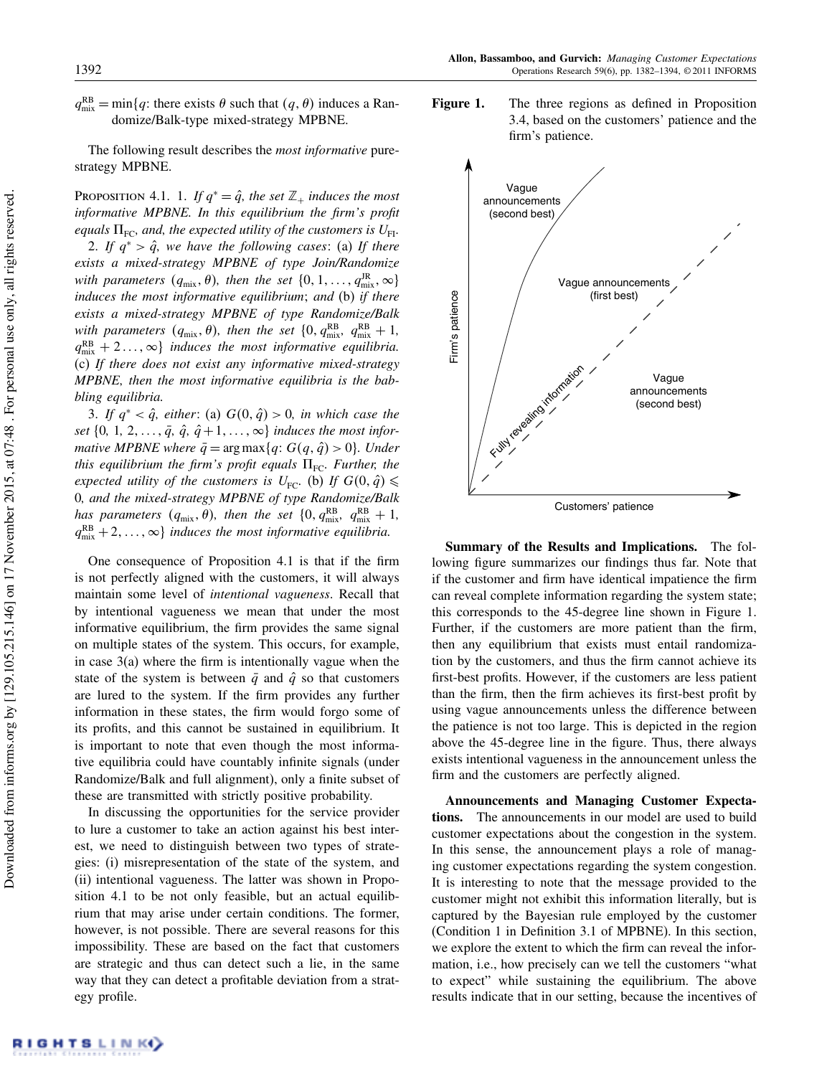#### $q_{\text{mix}}^{\text{RB}} = \min\{q: \text{ there exists } \theta \text{ such that } (q, \theta) \text{ induces a Ran-} \}$ domize/Balk-type mixed-strategy MPBNE.

The following result describes the *most informative* purestrategy MPBNE.

PROPOSITION 4.1. 1. *If*  $q^* = \hat{q}$ *, the set*  $\mathbb{Z}_+$  *induces the most informative MPBNE. In this equilibrium the firm's profit equals*  $\Pi_{FC}$ *, and, the expected utility of the customers is*  $U_{FI}$ *.* 2. If  $q^* > \hat{q}$ , we have the following cases: (a) If there

*exists a mixed-strategy MPBNE of type Join/Randomize with parameters*  $(q_{\text{mix}}, \theta)$ *, then the set*  $\{0, 1, \ldots, q_{\text{mix}}^{\text{JR}}, \infty\}$ *induces the most informative equilibrium; and* (b) *if there exists a mixed-strategy MPBNE of type Randomize/Balk with parameters*  $(q_{\text{mix}}, \theta)$ *, then the set*  $\{0, q_{\text{mix}}^{\text{RB}}, q_{\text{mix}}^{\text{RB}} + 1$ *,*  $q_{\text{mix}}^{\text{RB}}$  + 2...,  $\infty$ *} induces the most informative equilibria.* (c) *If there does not exist any informative mixed-strategy MPBNE, then the most informative equilibria is the babbling equilibria.*

3. *If*  $q^* < \hat{q}$ , either: (a)  $G(0, \hat{q}) > 0$ , in which case the *set*  $\{0, 1, 2, \ldots, \bar{q}, \hat{q}, \hat{q}+1, \ldots, \infty\}$  *induces the most informative MPBNE where*  $\bar{q} = \arg \max\{q : G(q, \hat{q}) > 0\}$ *. Under this equilibrium the firm's profit equals*  $\Pi_{FC}$ *. Further, the expected utility of the customers is*  $U_{\text{FC}}$ . (b) *If*  $G(0, \hat{q}) \leq$ 0*, and the mixed-strategy MPBNE of type Randomize/Balk has parameters*  $(q_{\text{mix}}, \theta)$ , then the set  $\{0, q_{\text{mix}}^{\text{RB}}, q_{\text{mix}}^{\text{RB}} + 1$ ,  $q_{\text{mix}}^{\text{RB}}$  + 2, ...,  $\infty$ *} induces the most informative equilibria.* 

One consequence of Proposition 4.1 is that if the firm is not perfectly aligned with the customers, it will always maintain some level of *intentional vagueness*. Recall that by intentional vagueness we mean that under the most informative equilibrium, the firm provides the same signal on multiple states of the system. This occurs, for example, in case 3(a) where the firm is intentionally vague when the state of the system is between  $\bar{q}$  and  $\hat{q}$  so that customers are lured to the system. If the firm provides any further information in these states, the firm would forgo some of its profits, and this cannot be sustained in equilibrium. It is important to note that even though the most informative equilibria could have countably infinite signals (under Randomize/Balk and full alignment), only a finite subset of these are transmitted with strictly positive probability.

In discussing the opportunities for the service provider to lure a customer to take an action against his best interest, we need to distinguish between two types of strategies: (i) misrepresentation of the state of the system, and (ii) intentional vagueness. The latter was shown in Proposition 4.1 to be not only feasible, but an actual equilibrium that may arise under certain conditions. The former, however, is not possible. There are several reasons for this impossibility. These are based on the fact that customers are strategic and thus can detect such a lie, in the same way that they can detect a profitable deviation from a strategy profile.



Vague



Announcements and Managing Customer Expectations. The announcements in our model are used to build customer expectations about the congestion in the system. In this sense, the announcement plays a role of managing customer expectations regarding the system congestion. It is interesting to note that the message provided to the customer might not exhibit this information literally, but is captured by the Bayesian rule employed by the customer (Condition 1 in Definition 3.1 of MPBNE). In this section, we explore the extent to which the firm can reveal the information, i.e., how precisely can we tell the customers "what to expect" while sustaining the equilibrium. The above results indicate that in our setting, because the incentives of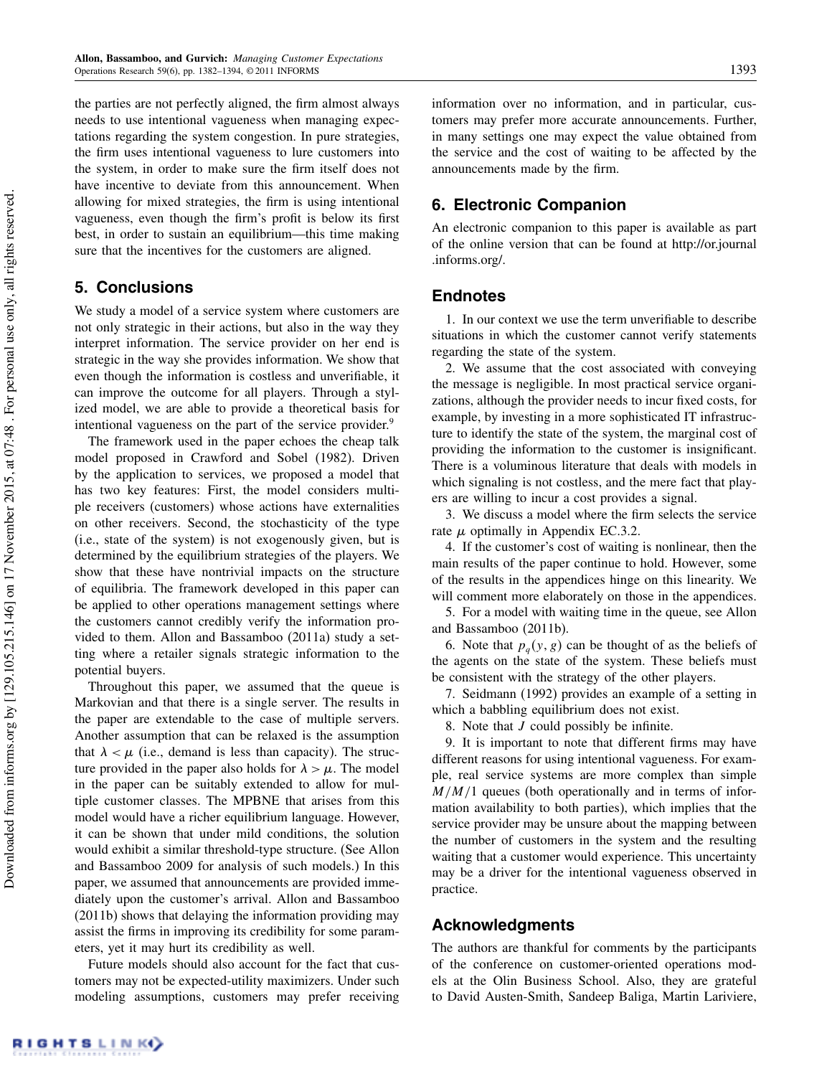the parties are not perfectly aligned, the firm almost always needs to use intentional vagueness when managing expectations regarding the system congestion. In pure strategies, the firm uses intentional vagueness to lure customers into the system, in order to make sure the firm itself does not have incentive to deviate from this announcement. When allowing for mixed strategies, the firm is using intentional vagueness, even though the firm's profit is below its first best, in order to sustain an equilibrium—this time making sure that the incentives for the customers are aligned.

## 5. Conclusions

We study a model of a service system where customers are not only strategic in their actions, but also in the way they interpret information. The service provider on her end is strategic in the way she provides information. We show that even though the information is costless and unverifiable, it can improve the outcome for all players. Through a stylized model, we are able to provide a theoretical basis for intentional vagueness on the part of the service provider.<sup>9</sup>

The framework used in the paper echoes the cheap talk model proposed in Crawford and Sobel (1982). Driven by the application to services, we proposed a model that has two key features: First, the model considers multiple receivers (customers) whose actions have externalities on other receivers. Second, the stochasticity of the type (i.e., state of the system) is not exogenously given, but is determined by the equilibrium strategies of the players. We show that these have nontrivial impacts on the structure of equilibria. The framework developed in this paper can be applied to other operations management settings where the customers cannot credibly verify the information provided to them. Allon and Bassamboo (2011a) study a setting where a retailer signals strategic information to the potential buyers.

Throughout this paper, we assumed that the queue is Markovian and that there is a single server. The results in the paper are extendable to the case of multiple servers. Another assumption that can be relaxed is the assumption that  $\lambda < \mu$  (i.e., demand is less than capacity). The structure provided in the paper also holds for  $\lambda > \mu$ . The model in the paper can be suitably extended to allow for multiple customer classes. The MPBNE that arises from this model would have a richer equilibrium language. However, it can be shown that under mild conditions, the solution would exhibit a similar threshold-type structure. (See Allon and Bassamboo 2009 for analysis of such models.) In this paper, we assumed that announcements are provided immediately upon the customer's arrival. Allon and Bassamboo (2011b) shows that delaying the information providing may assist the firms in improving its credibility for some parameters, yet it may hurt its credibility as well.

Future models should also account for the fact that customers may not be expected-utility maximizers. Under such modeling assumptions, customers may prefer receiving information over no information, and in particular, customers may prefer more accurate announcements. Further, in many settings one may expect the value obtained from the service and the cost of waiting to be affected by the announcements made by the firm.

# 6. Electronic Companion

An electronic companion to this paper is available as part of the online version that can be found at http://or.journal .informs.org/.

# **Endnotes**

1. In our context we use the term unverifiable to describe situations in which the customer cannot verify statements regarding the state of the system.

2. We assume that the cost associated with conveying the message is negligible. In most practical service organizations, although the provider needs to incur fixed costs, for example, by investing in a more sophisticated IT infrastructure to identify the state of the system, the marginal cost of providing the information to the customer is insignificant. There is a voluminous literature that deals with models in which signaling is not costless, and the mere fact that players are willing to incur a cost provides a signal.

3. We discuss a model where the firm selects the service rate  $\mu$  optimally in Appendix EC.3.2.

4. If the customer's cost of waiting is nonlinear, then the main results of the paper continue to hold. However, some of the results in the appendices hinge on this linearity. We will comment more elaborately on those in the appendices.

5. For a model with waiting time in the queue, see Allon and Bassamboo (2011b).

6. Note that  $p_q(y, g)$  can be thought of as the beliefs of the agents on the state of the system. These beliefs must be consistent with the strategy of the other players.

7. Seidmann (1992) provides an example of a setting in which a babbling equilibrium does not exist.

8. Note that *J* could possibly be infinite.

9. It is important to note that different firms may have different reasons for using intentional vagueness. For example, real service systems are more complex than simple *M/M/*1 queues (both operationally and in terms of information availability to both parties), which implies that the service provider may be unsure about the mapping between the number of customers in the system and the resulting waiting that a customer would experience. This uncertainty may be a driver for the intentional vagueness observed in practice.

# Acknowledgments

The authors are thankful for comments by the participants of the conference on customer-oriented operations models at the Olin Business School. Also, they are grateful to David Austen-Smith, Sandeep Baliga, Martin Lariviere,